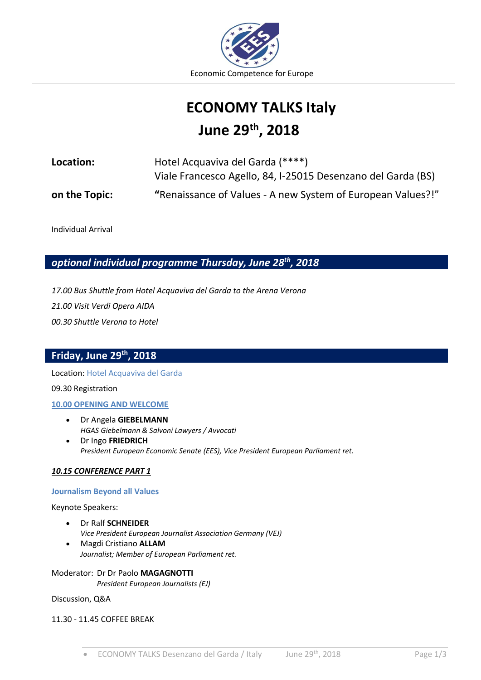

# **ECONOMY TALKS Italy June 29 th , 2018**

| Location:     | Hotel Acquaviva del Garda (****)                             |
|---------------|--------------------------------------------------------------|
|               | Viale Francesco Agello, 84, I-25015 Desenzano del Garda (BS) |
| on the Topic: | "Renaissance of Values - A new System of European Values?!"  |

Individual Arrival

*optional individual programme Thursday, June 28th, 2018*

*17.00 Bus Shuttle from Hotel Acquaviva del Garda to the Arena Verona 21.00 Visit Verdi Opera AIDA 00.30 Shuttle Verona to Hotel* 

# **Friday, June 29 th, 2018**

Location: Hotel Acquaviva del Garda

09.30 Registration

#### **10.00 OPENING AND WELCOME**

- Dr Angela **GIEBELMANN** *HGAS Giebelmann & Salvoni Lawyers / Avvocati*
- Dr Ingo **FRIEDRICH** *President European Economic Senate (EES), Vice President European Parliament ret.*

#### *10.15 CONFERENCE PART 1*

#### **Journalism Beyond all Values**

Keynote Speakers:

- Dr Ralf **SCHNEIDER** *Vice President European Journalist Association Germany (VEJ)*
- Magdi Cristiano **ALLAM** *Journalist; Member of European Parliament ret.*

Moderator: Dr Dr Paolo **MAGAGNOTTI** *President European Journalists (EJ)*

Discussion, Q&A

#### 11.30 - 11.45 COFFEE BREAK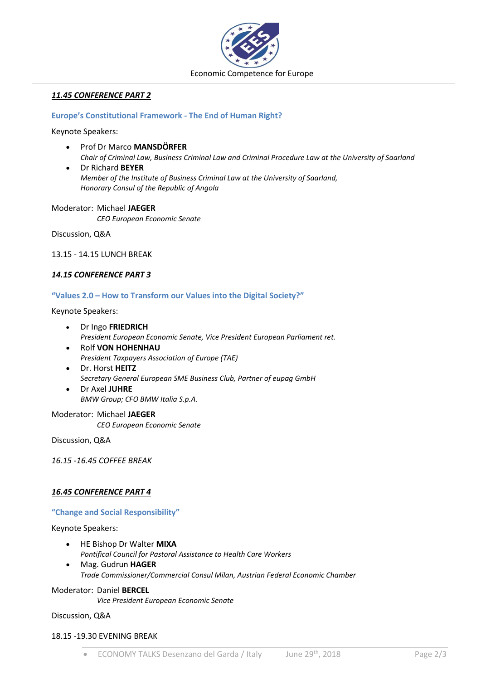

#### *11.45 CONFERENCE PART 2*

#### **Europe's Constitutional Framework - The End of Human Right?**

Keynote Speakers:

- Prof Dr Marco **MANSDÖRFER** *Chair of Criminal Law, Business Criminal Law and Criminal Procedure Law at the University of Saarland*
- Dr Richard **BEYER** *Member of the Institute of Business Criminal Law at the University of Saarland, Honorary Consul of the Republic of Angola*

Moderator: Michael **JAEGER** *CEO European Economic Senate*

Discussion, Q&A

13.15 - 14.15 LUNCH BREAK

#### *14.15 CONFERENCE PART 3*

#### **"Values 2.0 – How to Transform our Values into the Digital Society?"**

Keynote Speakers:

- Dr Ingo **FRIEDRICH** *President European Economic Senate, Vice President European Parliament ret.*
- Rolf **VON HOHENHAU** *President Taxpayers Association of Europe (TAE)*
- Dr. Horst **HEITZ** *Secretary General European SME Business Club, Partner of eupag GmbH*
	- Dr Axel **JUHRE** *BMW Group; CFO BMW Italia S.p.A.*

Moderator: Michael **JAEGER** *CEO European Economic Senate*

Discussion, Q&A

*16.15 -16.45 COFFEE BREAK*

#### *16.45 CONFERENCE PART 4*

#### **"Change and Social Responsibility"**

Keynote Speakers:

- HE Bishop Dr Walter **MIXA** *Pontifical Council for Pastoral Assistance to Health Care Workers*
- Mag. Gudrun **HAGER** *Trade Commissioner/Commercial Consul Milan, Austrian Federal Economic Chamber*

# Moderator: Daniel **BERCEL**

*Vice President European Economic Senate*

Discussion, Q&A

#### 18.15 -19.30 EVENING BREAK